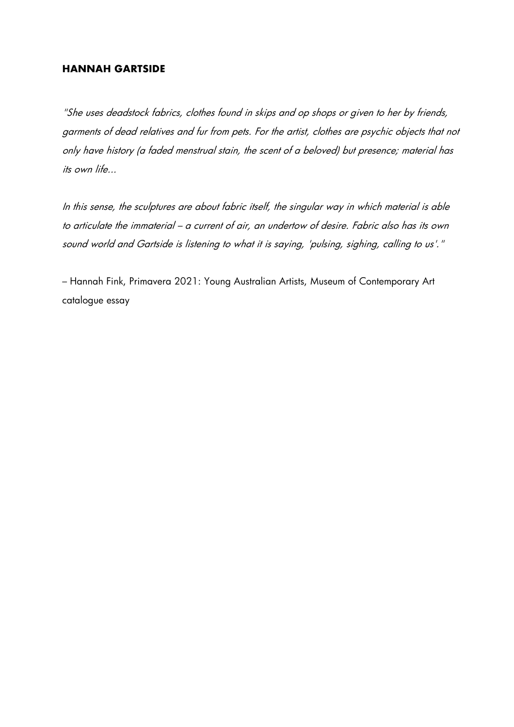#### **HANNAH GARTSIDE**

"She uses deadstock fabrics, clothes found in skips and op shops or given to her by friends, garments of dead relatives and fur from pets. For the artist, clothes are psychic objects that not only have history (a faded menstrual stain, the scent of a beloved) but presence; material has its own life...

In this sense, the sculptures are about fabric itself, the singular way in which material is able to articulate the immaterial – a current of air, an undertow of desire. Fabric also has its own sound world and Gartside is listening to what it is saying, 'pulsing, sighing, calling to us'."

– Hannah Fink, Primavera 2021: Young Australian Artists, Museum of Contemporary Art catalogue essay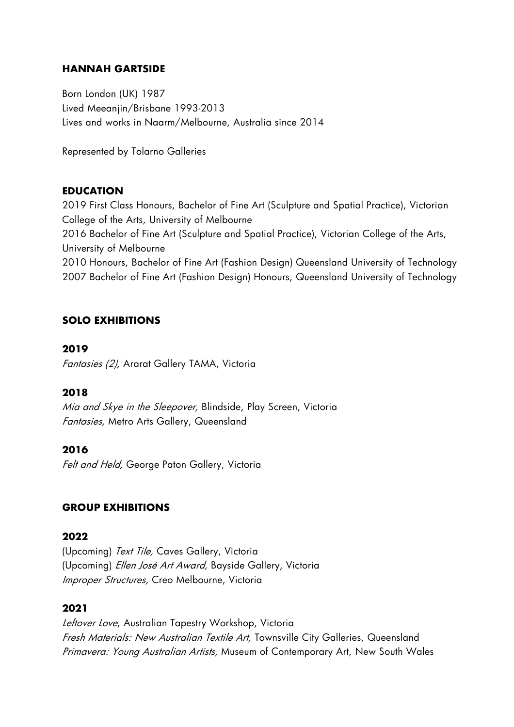### **HANNAH GARTSIDE**

Born London (UK) 1987 Lived Meeanjin/Brisbane 1993-2013 Lives and works in Naarm/Melbourne, Australia since 2014

Represented by Tolarno Galleries

### **EDUCATION**

2019 First Class Honours, Bachelor of Fine Art (Sculpture and Spatial Practice), Victorian College of the Arts, University of Melbourne

2016 Bachelor of Fine Art (Sculpture and Spatial Practice), Victorian College of the Arts, University of Melbourne

2010 Honours, Bachelor of Fine Art (Fashion Design) Queensland University of Technology 2007 Bachelor of Fine Art (Fashion Design) Honours, Queensland University of Technology

### **SOLO EXHIBITIONS**

#### **2019**

Fantasies (2), Ararat Gallery TAMA, Victoria

### **2018**

Mia and Skye in the Sleepover, Blindside, Play Screen, Victoria Fantasies, Metro Arts Gallery, Queensland

### **2016**

Felt and Held, George Paton Gallery, Victoria

### **GROUP EXHIBITIONS**

#### **2022**

(Upcoming) Text Tile, Caves Gallery, Victoria (Upcoming) Ellen José Art Award, Bayside Gallery, Victoria Improper Structures, Creo Melbourne, Victoria

### **2021**

Leftover Love, Australian Tapestry Workshop, Victoria Fresh Materials: New Australian Textile Art, Townsville City Galleries, Queensland Primavera: Young Australian Artists, Museum of Contemporary Art, New South Wales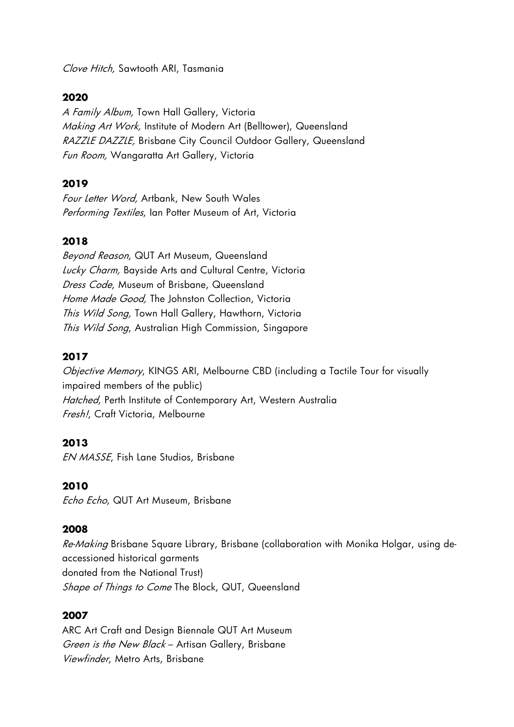Clove Hitch, Sawtooth ARI, Tasmania

### **2020**

A Family Album, Town Hall Gallery, Victoria Making Art Work, Institute of Modern Art (Belltower), Queensland RAZZLE DAZZLE, Brisbane City Council Outdoor Gallery, Queensland Fun Room, Wangaratta Art Gallery, Victoria

### **2019**

Four Letter Word, Artbank, New South Wales Performing Textiles, Ian Potter Museum of Art, Victoria

### **2018**

Beyond Reason, QUT Art Museum, Queensland Lucky Charm, Bayside Arts and Cultural Centre, Victoria Dress Code, Museum of Brisbane, Queensland Home Made Good, The Johnston Collection, Victoria This Wild Song, Town Hall Gallery, Hawthorn, Victoria This Wild Song, Australian High Commission, Singapore

#### **2017**

Objective Memory, KINGS ARI, Melbourne CBD (including a Tactile Tour for visually impaired members of the public) Hatched, Perth Institute of Contemporary Art, Western Australia Fresh!, Craft Victoria, Melbourne

#### **2013**

EN MASSE, Fish Lane Studios, Brisbane

#### **2010**

Echo Echo, QUT Art Museum, Brisbane

#### **2008**

Re-Making Brisbane Square Library, Brisbane (collaboration with Monika Holgar, using deaccessioned historical garments donated from the National Trust) Shape of Things to Come The Block, QUT, Queensland

#### **2007**

ARC Art Craft and Design Biennale QUT Art Museum Green is the New Black - Artisan Gallery, Brisbane Viewfinder, Metro Arts, Brisbane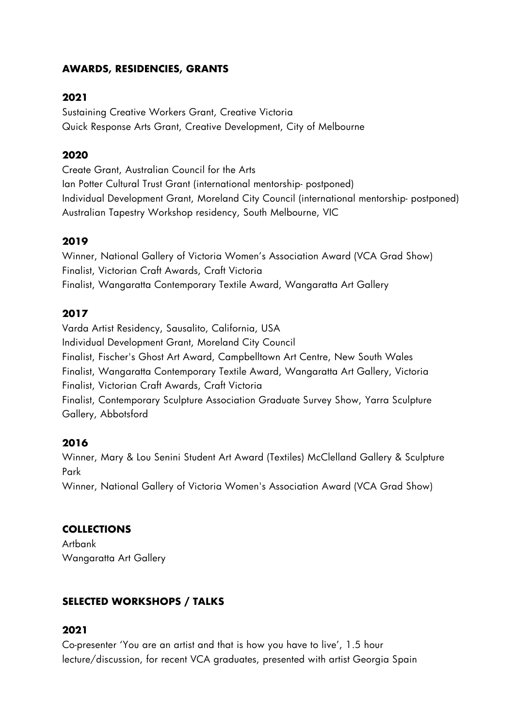## **AWARDS, RESIDENCIES, GRANTS**

# **2021**

Sustaining Creative Workers Grant, Creative Victoria Quick Response Arts Grant, Creative Development, City of Melbourne

# **2020**

Create Grant, Australian Council for the Arts Ian Potter Cultural Trust Grant (international mentorship- postponed) Individual Development Grant, Moreland City Council (international mentorship- postponed) Australian Tapestry Workshop residency, South Melbourne, VIC

# **2019**

Winner, National Gallery of Victoria Women's Association Award (VCA Grad Show) Finalist, Victorian Craft Awards, Craft Victoria Finalist, Wangaratta Contemporary Textile Award, Wangaratta Art Gallery

## **2017**

Varda Artist Residency, Sausalito, California, USA Individual Development Grant, Moreland City Council Finalist, Fischer's Ghost Art Award, Campbelltown Art Centre, New South Wales Finalist, Wangaratta Contemporary Textile Award, Wangaratta Art Gallery, Victoria Finalist, Victorian Craft Awards, Craft Victoria Finalist, Contemporary Sculpture Association Graduate Survey Show, Yarra Sculpture Gallery, Abbotsford

# **2016**

Winner, Mary & Lou Senini Student Art Award (Textiles) McClelland Gallery & Sculpture Park Winner, National Gallery of Victoria Women's Association Award (VCA Grad Show)

# **COLLECTIONS**

Artbank Wangaratta Art Gallery

# **SELECTED WORKSHOPS / TALKS**

## **2021**

Co-presenter 'You are an artist and that is how you have to live', 1.5 hour lecture/discussion, for recent VCA graduates, presented with artist Georgia Spain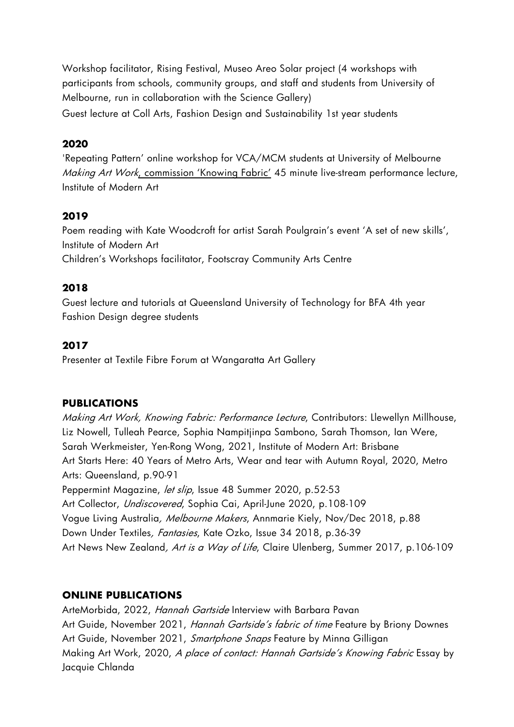Workshop facilitator, Rising Festival, Museo Areo Solar project (4 workshops with participants from schools, community groups, and staff and students from University of Melbourne, run in collaboration with the Science Gallery)

Guest lecture at Coll Arts, Fashion Design and Sustainability 1st year students

# **2020**

'Repeating Pattern' online workshop for VCA/MCM students at University of Melbourne Making Art Work, commission 'Knowing Fabric' 45 minute live-stream performance lecture, Institute of Modern Art

# **2019**

Poem reading with Kate Woodcroft for artist Sarah Poulgrain's event 'A set of new skills', Institute of Modern Art Children's Workshops facilitator, Footscray Community Arts Centre

# **2018**

Guest lecture and tutorials at Queensland University of Technology for BFA 4th year Fashion Design degree students

# **2017**

Presenter at Textile Fibre Forum at Wangaratta Art Gallery

# **PUBLICATIONS**

Making Art Work, Knowing Fabric: Performance Lecture, Contributors: Llewellyn Millhouse, Liz Nowell, Tulleah Pearce, Sophia Nampitjinpa Sambono, Sarah Thomson, Ian Were, Sarah Werkmeister, Yen-Rong Wong, 2021, Institute of Modern Art: Brisbane Art Starts Here: 40 Years of Metro Arts, Wear and tear with Autumn Royal, 2020, Metro Arts: Queensland, p.90-91 Peppermint Magazine, let slip, Issue 48 Summer 2020, p.52-53 Art Collector, Undiscovered, Sophia Cai, April-June 2020, p.108-109 Vogue Living Australia, Melbourne Makers, Annmarie Kiely, Nov/Dec 2018, p.88 Down Under Textiles, *Fantasies*, Kate Ozko, Issue 34 2018, p.36-39 Art News New Zealand, Art is a Way of Life, Claire Ulenberg, Summer 2017, p.106-109

## **ONLINE PUBLICATIONS**

ArteMorbida, 2022, Hannah Gartside Interview with Barbara Pavan Art Guide, November 2021, Hannah Gartside's fabric of time Feature by Briony Downes Art Guide, November 2021, Smartphone Snaps Feature by Minna Gilligan Making Art Work, 2020, A place of contact: Hannah Gartside's Knowing Fabric Essay by Jacquie Chlanda